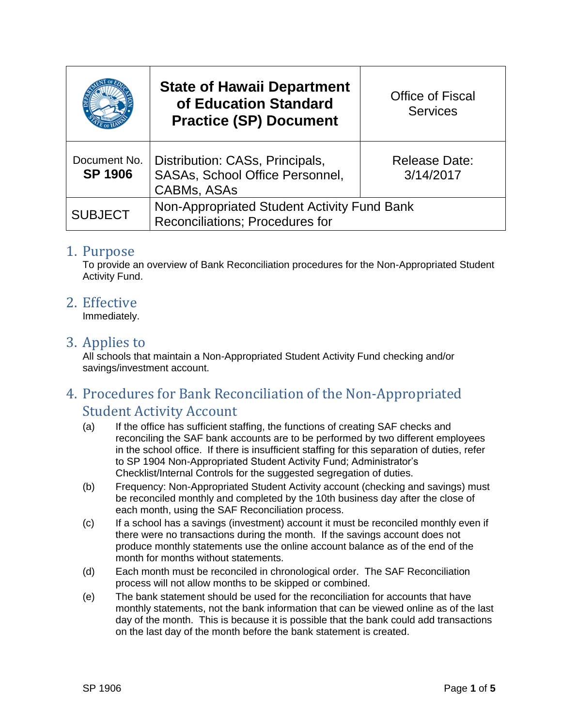|                                | <b>State of Hawaii Department</b><br>of Education Standard<br><b>Practice (SP) Document</b>     | <b>Office of Fiscal</b><br><b>Services</b> |
|--------------------------------|-------------------------------------------------------------------------------------------------|--------------------------------------------|
| Document No.<br><b>SP 1906</b> | Distribution: CASs, Principals,<br><b>SASAs, School Office Personnel,</b><br><b>CABMs, ASAs</b> | <b>Release Date:</b><br>3/14/2017          |
| <b>SUBJECT</b>                 | Non-Appropriated Student Activity Fund Bank<br><b>Reconciliations: Procedures for</b>           |                                            |

#### 1. Purpose

To provide an overview of Bank Reconciliation procedures for the Non-Appropriated Student Activity Fund.

#### 2. Effective

Immediately.

#### 3. Applies to

All schools that maintain a Non-Appropriated Student Activity Fund checking and/or savings/investment account.

# 4. Procedures for Bank Reconciliation of the Non-Appropriated Student Activity Account

- (a) If the office has sufficient staffing, the functions of creating SAF checks and reconciling the SAF bank accounts are to be performed by two different employees in the school office. If there is insufficient staffing for this separation of duties, refer to SP 1904 Non-Appropriated Student Activity Fund; Administrator's Checklist/Internal Controls for the suggested segregation of duties.
- (b) Frequency: Non-Appropriated Student Activity account (checking and savings) must be reconciled monthly and completed by the 10th business day after the close of each month, using the SAF Reconciliation process.
- (c) If a school has a savings (investment) account it must be reconciled monthly even if there were no transactions during the month. If the savings account does not produce monthly statements use the online account balance as of the end of the month for months without statements.
- (d) Each month must be reconciled in chronological order. The SAF Reconciliation process will not allow months to be skipped or combined.
- (e) The bank statement should be used for the reconciliation for accounts that have monthly statements, not the bank information that can be viewed online as of the last day of the month. This is because it is possible that the bank could add transactions on the last day of the month before the bank statement is created.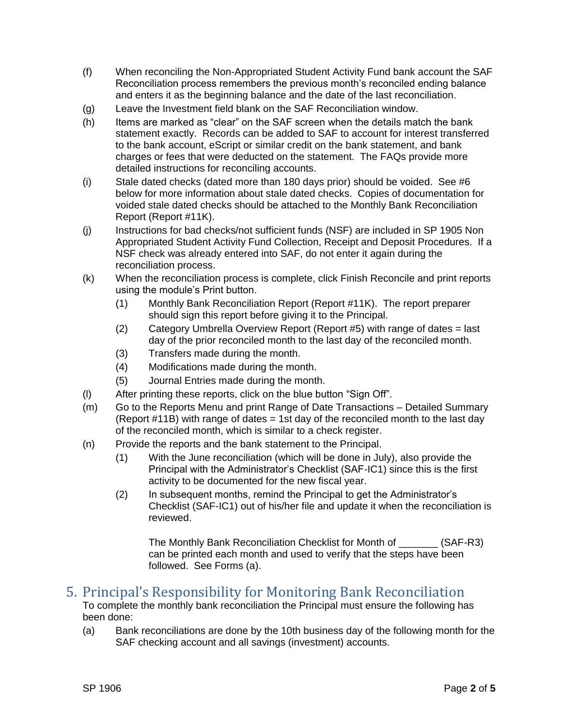- (f) When reconciling the Non-Appropriated Student Activity Fund bank account the SAF Reconciliation process remembers the previous month's reconciled ending balance and enters it as the beginning balance and the date of the last reconciliation.
- (g) Leave the Investment field blank on the SAF Reconciliation window.
- (h) Items are marked as "clear" on the SAF screen when the details match the bank statement exactly. Records can be added to SAF to account for interest transferred to the bank account, eScript or similar credit on the bank statement, and bank charges or fees that were deducted on the statement. The FAQs provide more detailed instructions for reconciling accounts.
- (i) Stale dated checks (dated more than 180 days prior) should be voided. See #6 below for more information about stale dated checks. Copies of documentation for voided stale dated checks should be attached to the Monthly Bank Reconciliation Report (Report #11K).
- (j) Instructions for bad checks/not sufficient funds (NSF) are included in SP 1905 Non Appropriated Student Activity Fund Collection, Receipt and Deposit Procedures. If a NSF check was already entered into SAF, do not enter it again during the reconciliation process.
- (k) When the reconciliation process is complete, click Finish Reconcile and print reports using the module's Print button.
	- (1) Monthly Bank Reconciliation Report (Report #11K). The report preparer should sign this report before giving it to the Principal.
	- (2) Category Umbrella Overview Report (Report #5) with range of dates = last day of the prior reconciled month to the last day of the reconciled month.
	- (3) Transfers made during the month.
	- (4) Modifications made during the month.
	- (5) Journal Entries made during the month.
- (l) After printing these reports, click on the blue button "Sign Off".
- (m) Go to the Reports Menu and print Range of Date Transactions Detailed Summary (Report #11B) with range of dates = 1st day of the reconciled month to the last day of the reconciled month, which is similar to a check register.
- (n) Provide the reports and the bank statement to the Principal.
	- (1) With the June reconciliation (which will be done in July), also provide the Principal with the Administrator's Checklist (SAF-IC1) since this is the first activity to be documented for the new fiscal year.
	- (2) In subsequent months, remind the Principal to get the Administrator's Checklist (SAF-IC1) out of his/her file and update it when the reconciliation is reviewed.

The Monthly Bank Reconciliation Checklist for Month of (SAF-R3) can be printed each month and used to verify that the steps have been followed. See Forms (a).

## 5. Principal's Responsibility for Monitoring Bank Reconciliation

To complete the monthly bank reconciliation the Principal must ensure the following has been done:

(a) Bank reconciliations are done by the 10th business day of the following month for the SAF checking account and all savings (investment) accounts.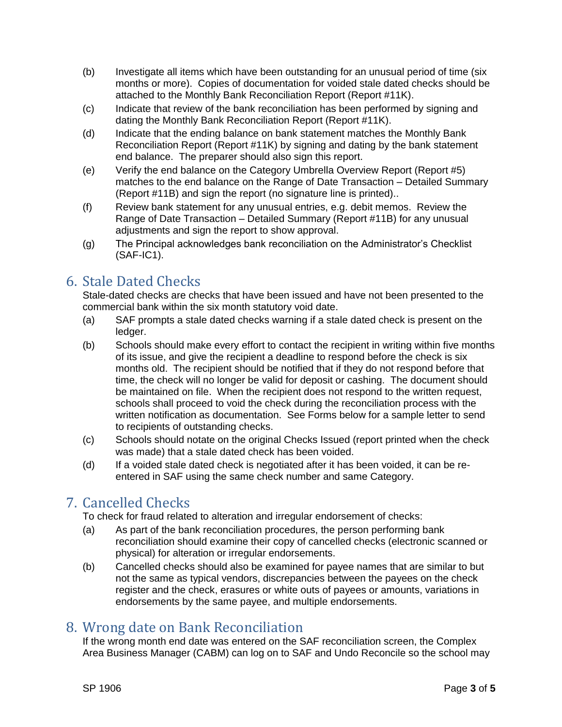- (b) Investigate all items which have been outstanding for an unusual period of time (six months or more). Copies of documentation for voided stale dated checks should be attached to the Monthly Bank Reconciliation Report (Report #11K).
- (c) Indicate that review of the bank reconciliation has been performed by signing and dating the Monthly Bank Reconciliation Report (Report #11K).
- (d) Indicate that the ending balance on bank statement matches the Monthly Bank Reconciliation Report (Report #11K) by signing and dating by the bank statement end balance. The preparer should also sign this report.
- (e) Verify the end balance on the Category Umbrella Overview Report (Report #5) matches to the end balance on the Range of Date Transaction – Detailed Summary (Report #11B) and sign the report (no signature line is printed)..
- (f) Review bank statement for any unusual entries, e.g. debit memos. Review the Range of Date Transaction – Detailed Summary (Report #11B) for any unusual adjustments and sign the report to show approval.
- (g) The Principal acknowledges bank reconciliation on the Administrator's Checklist  $(SAF-IC1)$ .

# 6. Stale Dated Checks

Stale-dated checks are checks that have been issued and have not been presented to the commercial bank within the six month statutory void date.

- (a) SAF prompts a stale dated checks warning if a stale dated check is present on the ledger.
- (b) Schools should make every effort to contact the recipient in writing within five months of its issue, and give the recipient a deadline to respond before the check is six months old. The recipient should be notified that if they do not respond before that time, the check will no longer be valid for deposit or cashing. The document should be maintained on file. When the recipient does not respond to the written request, schools shall proceed to void the check during the reconciliation process with the written notification as documentation. See Forms below for a sample letter to send to recipients of outstanding checks.
- (c) Schools should notate on the original Checks Issued (report printed when the check was made) that a stale dated check has been voided.
- (d) If a voided stale dated check is negotiated after it has been voided, it can be reentered in SAF using the same check number and same Category.

# 7. Cancelled Checks

To check for fraud related to alteration and irregular endorsement of checks:

- (a) As part of the bank reconciliation procedures, the person performing bank reconciliation should examine their copy of cancelled checks (electronic scanned or physical) for alteration or irregular endorsements.
- (b) Cancelled checks should also be examined for payee names that are similar to but not the same as typical vendors, discrepancies between the payees on the check register and the check, erasures or white outs of payees or amounts, variations in endorsements by the same payee, and multiple endorsements.

# 8. Wrong date on Bank Reconciliation

If the wrong month end date was entered on the SAF reconciliation screen, the Complex Area Business Manager (CABM) can log on to SAF and Undo Reconcile so the school may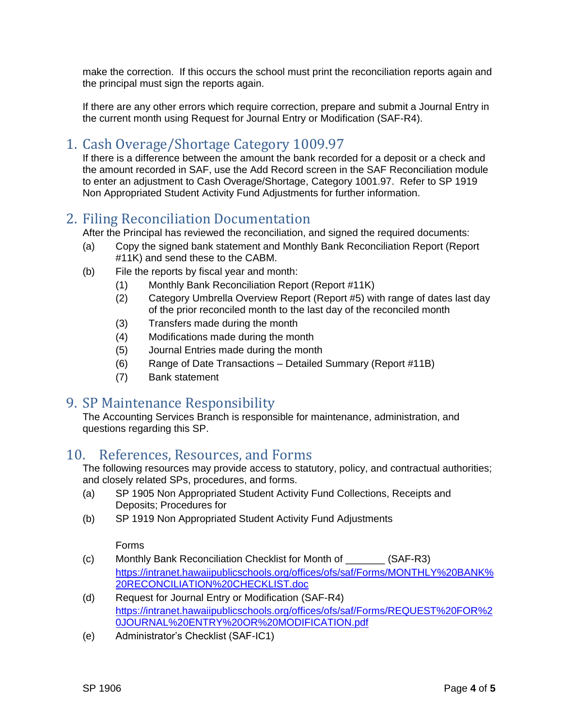make the correction. If this occurs the school must print the reconciliation reports again and the principal must sign the reports again.

If there are any other errors which require correction, prepare and submit a Journal Entry in the current month using Request for Journal Entry or Modification (SAF-R4).

## 1. Cash Overage/Shortage Category 1009.97

If there is a difference between the amount the bank recorded for a deposit or a check and the amount recorded in SAF, use the Add Record screen in the SAF Reconciliation module to enter an adjustment to Cash Overage/Shortage, Category 1001.97. Refer to SP 1919 Non Appropriated Student Activity Fund Adjustments for further information.

## 2. Filing Reconciliation Documentation

After the Principal has reviewed the reconciliation, and signed the required documents:

- (a) Copy the signed bank statement and Monthly Bank Reconciliation Report (Report #11K) and send these to the CABM.
- (b) File the reports by fiscal year and month:
	- (1) Monthly Bank Reconciliation Report (Report #11K)
	- (2) Category Umbrella Overview Report (Report #5) with range of dates last day of the prior reconciled month to the last day of the reconciled month
	- (3) Transfers made during the month
	- (4) Modifications made during the month
	- (5) Journal Entries made during the month
	- (6) Range of Date Transactions Detailed Summary (Report #11B)
	- (7) Bank statement

## 9. SP Maintenance Responsibility

The Accounting Services Branch is responsible for maintenance, administration, and questions regarding this SP.

## 10. References, Resources, and Forms

The following resources may provide access to statutory, policy, and contractual authorities; and closely related SPs, procedures, and forms.

- (a) SP 1905 Non Appropriated Student Activity Fund Collections, Receipts and Deposits; Procedures for
- (b) SP 1919 Non Appropriated Student Activity Fund Adjustments

#### Forms

- (c) Monthly Bank Reconciliation Checklist for Month of \_\_\_\_\_\_\_ (SAF-R3) [https://intranet.hawaiipublicschools.org/offices/ofs/saf/Forms/MONTHLY%20BANK%](https://intranet.hawaiipublicschools.org/offices/ofs/saf/Forms/MONTHLY%20BANK%20RECONCILIATION%20CHECKLIST.doc) [20RECONCILIATION%20CHECKLIST.doc](https://intranet.hawaiipublicschools.org/offices/ofs/saf/Forms/MONTHLY%20BANK%20RECONCILIATION%20CHECKLIST.doc)
- (d) Request for Journal Entry or Modification (SAF-R4) [https://intranet.hawaiipublicschools.org/offices/ofs/saf/Forms/REQUEST%20FOR%2](https://intranet.hawaiipublicschools.org/offices/ofs/saf/Forms/REQUEST%20FOR%20JOURNAL%20ENTRY%20OR%20MODIFICATION.pdf) [0JOURNAL%20ENTRY%20OR%20MODIFICATION.pdf](https://intranet.hawaiipublicschools.org/offices/ofs/saf/Forms/REQUEST%20FOR%20JOURNAL%20ENTRY%20OR%20MODIFICATION.pdf)
- (e) Administrator's Checklist (SAF-IC1)